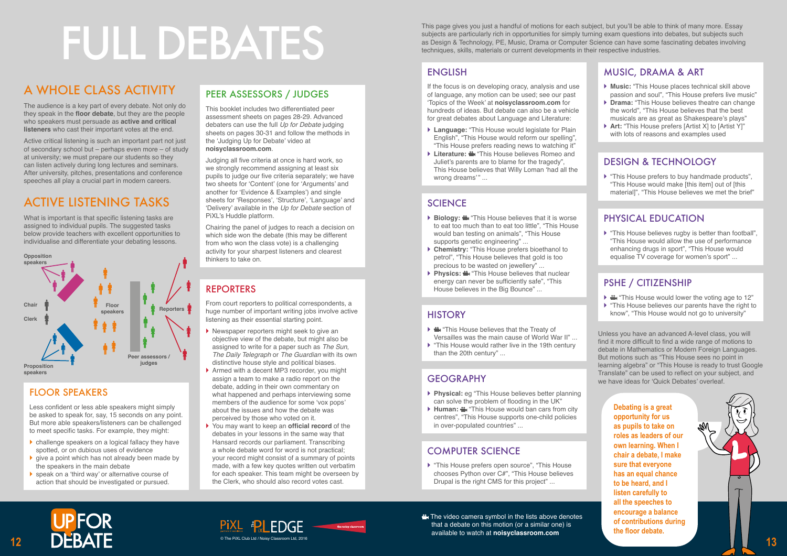

# FULL DEBATES

# ENGLISH

If the focus is on developing oracy, analysis and use of language, any motion can be used; see our past 'Topics of the Week' at **noisyclassroom.com** for hundreds of ideas. But debate can also be a vehicle for great debates about Language and Literature:

- **Language:** "This House would legislate for Plain English", "This House would reform our spelling", "This House prefers reading news to watching it"
- **Literature:**  $\frac{4}{10}$  "This House believes Romeo and Juliet's parents are to blame for the tragedy", This House believes that Willy Loman 'had all the wrong dreams'" ...

#### **SCIENCE**

- **Biology:**  $\triangleq$  "This House believes that it is worse to eat too much than to eat too little", "This House would ban testing on animals", "This House supports genetic engineering" ...
- **Chemistry:** "This House prefers bioethanol to petrol", "This House believes that gold is too precious to be wasted on jewellery" ...
- **Physics:**  $\triangleq$  "This House believes that nuclear energy can never be sufficiently safe", "This House believes in the Big Bounce" ...

#### **HISTORY**

- ▶  $\triangleq$  "This House believes that the Treaty of Versailles was the main cause of World War II" ...
- This House would rather live in the 19th century than the 20th century" ...

# **GEOGRAPHY**

- ▶ 當 "This House would lower the voting age to 12"
- ▶ "This House believes our parents have the right to know", "This House would not go to university"

- **Physical:** eg "This House believes better planning can solve the problem of flooding in the UK"
- **EXTERNITH:** "This House would ban cars from city centres", "This House supports one-child policies in over-populated countries" ...

# COMPUTER SCIENCE

▶ "This House prefers open source", "This House chooses Python over C#", "This House believes Drupal is the right CMS for this project" ...





#### MUSIC, DRAMA & ART

- **Music:** "This House places technical skill above passion and soul", "This House prefers live music"
- **Drama:** "This House believes theatre can change the world", "This House believes that the best musicals are as great as Shakespeare's plays"
- **Art:** "This House prefers [Artist X] to [Artist Y]" with lots of reasons and examples used

#### DESIGN & TECHNOLOGY

 "This House prefers to buy handmade products", "This House would make [this item] out of [this material]", "This House believes we met the brief"

#### PHYSICAL EDUCATION

 "This House believes rugby is better than football", "This House would allow the use of performance enhancing drugs in sport", "This House would equalise TV coverage for women's sport" ...

#### PSHE / CITIZENSHIP

Unless you have an advanced A-level class, you will find it more difficult to find a wide range of motions to debate in Mathematics or Modern Foreign Languages. But motions such as "This House sees no point in learning algebra" or "This House is ready to trust Google Translate" can be used to reflect on your subject, and we have ideas for 'Quick Debates' overleaf.

# A WHOLE CLASS ACTIVITY

The audience is a key part of every debate. Not only do they speak in the **floor debate**, but they are the people who speakers must persuade as **active and critical listeners** who cast their important votes at the end.

- $\blacktriangleright$  Newspaper reporters might seek to give an objective view of the debate, but might also be assigned to write for a paper such as *The Sun*, *The Daily Telegraph* or *The Guardian* with its own distinctive house style and political biases.
- ▶ Armed with a decent MP3 recorder, you might assign a team to make a radio report on the debate, adding in their own commentary on what happened and perhaps interviewing some members of the audience for some 'vox pops' about the issues and how the debate was perceived by those who voted on it.
- You may want to keep an **official record** of the debates in your lessons in the same way that Hansard records our parliament. Transcribing a whole debate word for word is not practical; your record might consist of a summary of points made, with a few key quotes written out verbatim for each speaker. This team might be overseen by the Clerk, who should also record votes cast.

Active critical listening is such an important part not just of secondary school but – perhaps even more – of study at university; we must prepare our students so they can listen actively during long lectures and seminars. After university, pitches, presentations and conference speeches all play a crucial part in modern careers.

# ACTIVE LISTENING TASKS

The video camera symbol in the lists above denotes that a debate on this motion (or a similar one) is available to watch at **noisyclassroom.com**

What is important is that specific listening tasks are assigned to individual pupils. The suggested tasks below provide teachers with excellent opportunities to individualise and differentiate your debating lessons.



# FLOOR SPEAKERS

Less confident or less able speakers might simply be asked to speak for, say, 15 seconds on any point. But more able speakers/listeners can be challenged to meet specific tasks. For example, they might:

- challenge speakers on a logical fallacy they have spotted, or on dubious uses of evidence
- ▶ give a point which has not already been made by the speakers in the main debate
- ▶ speak on a 'third way' or alternative course of action that should be investigated or pursued.

# PEER ASSESSORS / JUDGES

This booklet includes two differentiated peer assessment sheets on pages 28-29. Advanced debaters can use the full *Up for Debate* judging sheets on pages 30-31 and follow the methods in the 'Judging Up for Debate' video at **noisyclassroom.com**.

Judging all five criteria at once is hard work, so we strongly recommend assigning at least six pupils to judge our five criteria separately; we have two sheets for 'Content' (one for 'Arguments' and another for 'Evidence & Examples') and single sheets for 'Responses', 'Structure', 'Language' and 'Delivery' available in the *Up for Debate* section of PiXL's Huddle platform.

Chairing the panel of judges to reach a decision on which side won the debate (this may be different from who won the class vote) is a challenging activity for your sharpest listeners and clearest thinkers to take on.

# REPORTERS

From court reporters to political correspondents, a huge number of important writing jobs involve active listening as their essential starting point.

> **Debating is a great opportunity for us as pupils to take on roles as leaders of our own learning. When I chair a debate, I make sure that everyone has an equal chance to be heard, and I listen carefully to all the speeches to encourage a balance of contributions during the floor debate.**

This page gives you just a handful of motions for each subject, but you'll be able to think of many more. Essay subjects are particularly rich in opportunities for simply turning exam questions into debates, but subjects such as Design & Technology, PE, Music, Drama or Computer Science can have some fascinating debates involving techniques, skills, materials or current developments in their respective industries.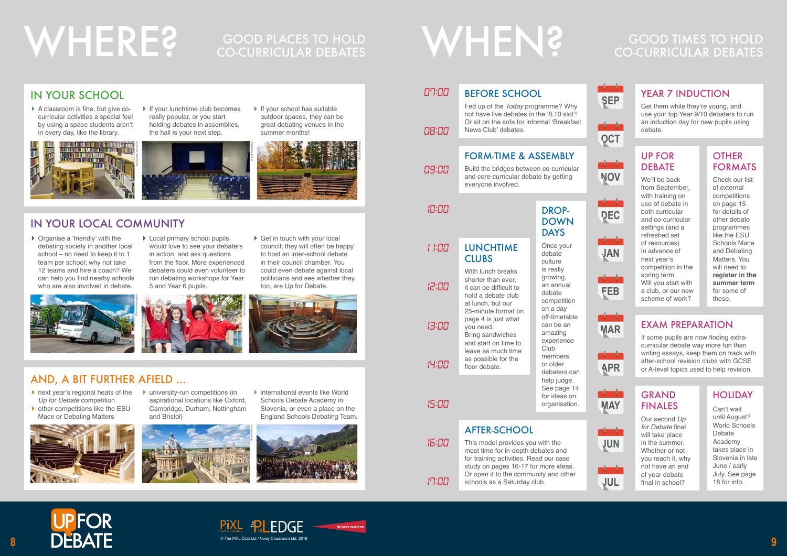

- ▶ next year's regional heats of the *Up for Debate* competition
- ▶ other competitions like the ESU Mace or Debating Matters



▶ university-run competitions (in aspirational locations like Oxford, Cambridge, Durham, Nottingham and Bristol)

▶ A classroom is fine, but give cocurricular activities a special feel by using a space students aren't in every day, like the library.







 $\blacktriangleright$  If your school has suitable outdoor spaces, they can be great debating venues in the

# WHERE? GOOD PLACES TO HOLD WHEN?

# CO-CURRICULAR DEBATES

# GOOD TIMES TO HOLD CO-CURRICULAR DEBATES



# AND, A BIT FURTHER AFIELD ...



- ▶ Organise a 'friendly' with the debating society in another local school – no need to keep it to 1 team per school; why not take 12 teams and hire a coach? We can help you find nearby schools who are also involved in debate.
- ▶ Local primary school pupils would love to see your debaters in action, and ask questions from the floor. More experienced debaters could even volunteer to run debating workshops for Year 5 and Year 6 pupils.
- ▶ Get in touch with your local council; they will often be happy to host an inter-school debate in their council chamber. You could even debate against local politicians and see whether they, too, are Up for Debate.

summer months!

# IN YOUR SCHOOL



#### **OTHER** FORMATS

# IN YOUR LOCAL COMMUNITY

iStock/Alberthep





*08:00*

*09:00*

*10:00*

# *11:00*

*12:00*

*13:00*

#### *07:00* BEFORE SCHOOL

*14:00*

*15:00*

*16:00*

*17:00*

Fed up of the *Today* programme? Why not have live debates in the '8.10 slot'! Or sit on the sofa for informal 'Breakfast News Club' debates.

> If some pupils are now finding extracurricular debate way more fun than writing essays, keep them on track with after-school revision clubs with GCSE or A-level topics used to help revision.

## FORM-TIME & ASSEMBLY

Build the bridges between co-curricular and core-curricular debate by getting everyone involved.

#### DROP-DOWN DAYS

Once your debate culture is really growing, an annual debate competition on a day off-timetable can be an amazing experience **Club** members or older debaters can help judge. See page 14 for ideas on organisation.

LUNCHTIME **CLUBS** With lunch breaks

shorter than ever, it can be difficult to hold a debate club at lunch, but our 25-minute format on page 4 is just what you need. Bring sandwiches and start on time to leave as much time as possible for the floor debate.

# AFTER-SCHOOL

This model provides you with the most time for in-depth debates and for training activities. Read our case study on pages 16-17 for more ideas. Or open it to the community and other schools as a Saturday club.

Get them while they're young, and use your top Year 9/10 debaters to run an induction day for new pupils using debate.



**OCT**



















## YEAR 7 INDUCTION

Check our list of external competitions on page 15 for details of other debate programmes like the ESU Schools Mace and Debating Matters. You will need to **register in the summer term** for some of these.

#### UP FOR DEBATE

We'll be back from September, with training on use of debate in both curricular and co-curricular settings (and a refreshed set of resources) in advance of next year's competition in the spring term. Will you start with a club, or our new scheme of work?

# EXAM PREPARATION

#### GRAND FINALES

Our second *Up for Debate* final will take place in the summer. Whether or not you reach it, why not have an end of year debate final in school?

# HOLIDAY

Can't wait until August? World Schools Debate Academy takes place in Slovenia in late June / early July. See page 18 for info.